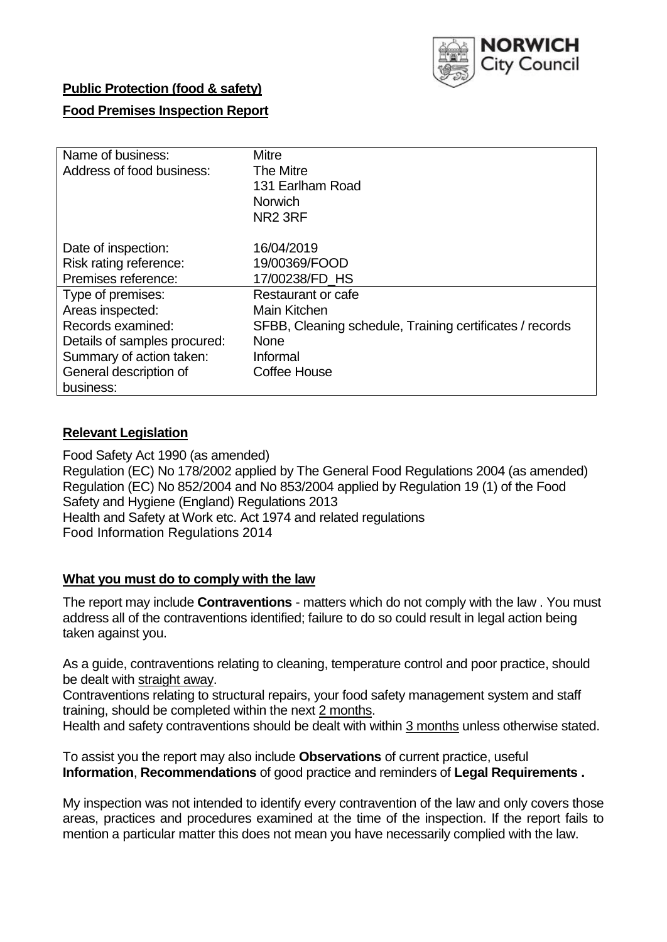

## **Public Protection (food & safety)**

# **Food Premises Inspection Report**

| Name of business:            | <b>Mitre</b>                                             |
|------------------------------|----------------------------------------------------------|
| Address of food business:    | The Mitre                                                |
|                              | 131 Earlham Road                                         |
|                              | <b>Norwich</b>                                           |
|                              | NR <sub>2</sub> 3RF                                      |
|                              |                                                          |
| Date of inspection:          | 16/04/2019                                               |
| Risk rating reference:       | 19/00369/FOOD                                            |
| Premises reference:          | 17/00238/FD HS                                           |
| Type of premises:            | Restaurant or cafe                                       |
| Areas inspected:             | <b>Main Kitchen</b>                                      |
| Records examined:            | SFBB, Cleaning schedule, Training certificates / records |
| Details of samples procured: | <b>None</b>                                              |
| Summary of action taken:     | Informal                                                 |
| General description of       | Coffee House                                             |
| business:                    |                                                          |

#### **Relevant Legislation**

Food Safety Act 1990 (as amended) Regulation (EC) No 178/2002 applied by The General Food Regulations 2004 (as amended) Regulation (EC) No 852/2004 and No 853/2004 applied by Regulation 19 (1) of the Food Safety and Hygiene (England) Regulations 2013 Health and Safety at Work etc. Act 1974 and related regulations Food Information Regulations 2014

#### **What you must do to comply with the law**

The report may include **Contraventions** - matters which do not comply with the law . You must address all of the contraventions identified; failure to do so could result in legal action being taken against you.

As a guide, contraventions relating to cleaning, temperature control and poor practice, should be dealt with straight away.

Contraventions relating to structural repairs, your food safety management system and staff training, should be completed within the next 2 months.

Health and safety contraventions should be dealt with within 3 months unless otherwise stated.

To assist you the report may also include **Observations** of current practice, useful **Information**, **Recommendations** of good practice and reminders of **Legal Requirements .**

My inspection was not intended to identify every contravention of the law and only covers those areas, practices and procedures examined at the time of the inspection. If the report fails to mention a particular matter this does not mean you have necessarily complied with the law.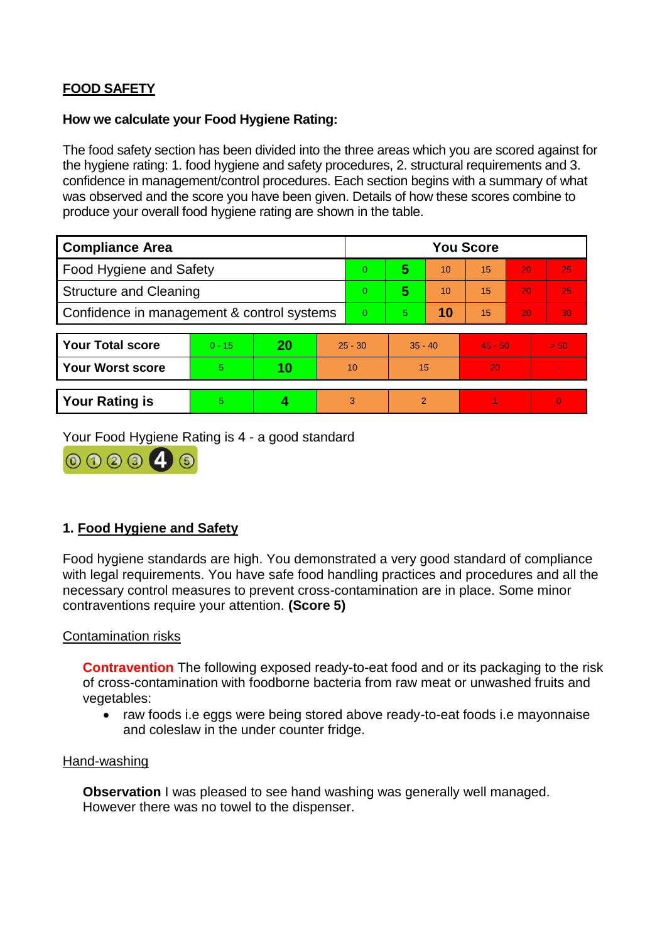# **FOOD SAFETY**

#### **How we calculate your Food Hygiene Rating:**

The food safety section has been divided into the three areas which you are scored against for the hygiene rating: 1. food hygiene and safety procedures, 2. structural requirements and 3. confidence in management/control procedures. Each section begins with a summary of what was observed and the score you have been given. Details of how these scores combine to produce your overall food hygiene rating are shown in the table.

| <b>Compliance Area</b>                     |          |    |           | <b>You Score</b> |                |    |           |    |                |  |  |
|--------------------------------------------|----------|----|-----------|------------------|----------------|----|-----------|----|----------------|--|--|
| Food Hygiene and Safety                    |          |    |           | $\Omega$         | 5              | 10 | 15        | 20 | 25             |  |  |
| <b>Structure and Cleaning</b>              |          |    |           | $\overline{0}$   | 5              | 10 | 15        | 20 | 25             |  |  |
| Confidence in management & control systems |          |    | $\Omega$  | $\overline{5}$   | 10             | 15 | 20        | 30 |                |  |  |
|                                            |          |    |           |                  |                |    |           |    |                |  |  |
| <b>Your Total score</b>                    | $0 - 15$ | 20 | $25 - 30$ |                  | $35 - 40$      |    | $45 - 50$ |    | > 50           |  |  |
| <b>Your Worst score</b>                    | 5        | 10 | 10        |                  | 15             |    | 20        |    | $\blacksquare$ |  |  |
|                                            |          |    |           |                  |                |    |           |    |                |  |  |
| <b>Your Rating is</b>                      | 5        |    |           | 3                | $\overline{2}$ |    |           |    | $\Omega$       |  |  |

Your Food Hygiene Rating is 4 - a good standard



# **1. Food Hygiene and Safety**

Food hygiene standards are high. You demonstrated a very good standard of compliance with legal requirements. You have safe food handling practices and procedures and all the necessary control measures to prevent cross-contamination are in place. Some minor contraventions require your attention. **(Score 5)**

## Contamination risks

**Contravention** The following exposed ready-to-eat food and or its packaging to the risk of cross-contamination with foodborne bacteria from raw meat or unwashed fruits and vegetables:

• raw foods i.e eggs were being stored above ready-to-eat foods i.e mayonnaise and coleslaw in the under counter fridge.

#### Hand-washing

**Observation I** was pleased to see hand washing was generally well managed. However there was no towel to the dispenser.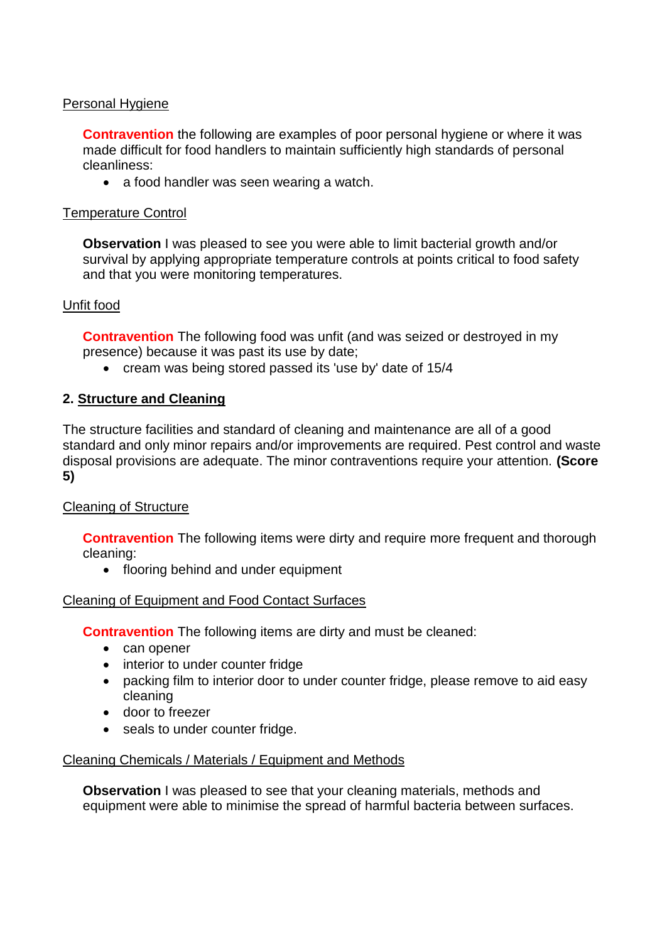## Personal Hygiene

**Contravention** the following are examples of poor personal hygiene or where it was made difficult for food handlers to maintain sufficiently high standards of personal cleanliness:

• a food handler was seen wearing a watch.

## Temperature Control

**Observation** I was pleased to see you were able to limit bacterial growth and/or survival by applying appropriate temperature controls at points critical to food safety and that you were monitoring temperatures.

## Unfit food

**Contravention** The following food was unfit (and was seized or destroyed in my presence) because it was past its use by date;

• cream was being stored passed its 'use by' date of 15/4

## **2. Structure and Cleaning**

The structure facilities and standard of cleaning and maintenance are all of a good standard and only minor repairs and/or improvements are required. Pest control and waste disposal provisions are adequate. The minor contraventions require your attention. **(Score 5)**

## Cleaning of Structure

**Contravention** The following items were dirty and require more frequent and thorough cleaning:

• flooring behind and under equipment

## Cleaning of Equipment and Food Contact Surfaces

**Contravention** The following items are dirty and must be cleaned:

- can opener
- interior to under counter fridge
- packing film to interior door to under counter fridge, please remove to aid easy cleaning
- door to freezer
- seals to under counter fridge.

## Cleaning Chemicals / Materials / Equipment and Methods

**Observation** I was pleased to see that your cleaning materials, methods and equipment were able to minimise the spread of harmful bacteria between surfaces.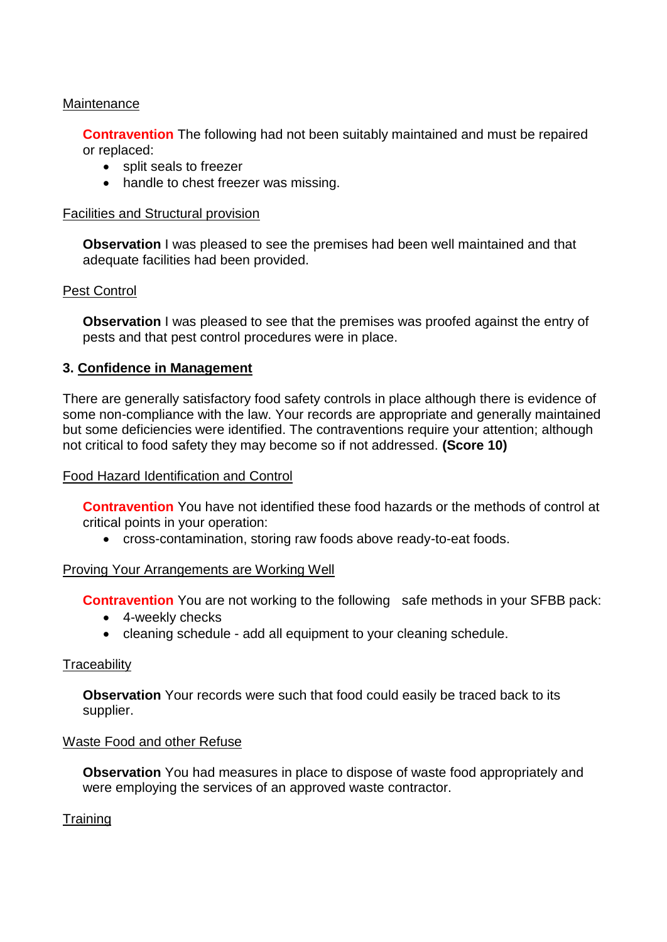## **Maintenance**

**Contravention** The following had not been suitably maintained and must be repaired or replaced:

- split seals to freezer
- handle to chest freezer was missing.

#### Facilities and Structural provision

**Observation** I was pleased to see the premises had been well maintained and that adequate facilities had been provided.

## Pest Control

**Observation** I was pleased to see that the premises was proofed against the entry of pests and that pest control procedures were in place.

## **3. Confidence in Management**

There are generally satisfactory food safety controls in place although there is evidence of some non-compliance with the law. Your records are appropriate and generally maintained but some deficiencies were identified. The contraventions require your attention; although not critical to food safety they may become so if not addressed. **(Score 10)**

## Food Hazard Identification and Control

**Contravention** You have not identified these food hazards or the methods of control at critical points in your operation:

cross-contamination, storing raw foods above ready-to-eat foods.

## Proving Your Arrangements are Working Well

**Contravention** You are not working to the following safe methods in your SFBB pack:

- 4-weekly checks
- cleaning schedule add all equipment to your cleaning schedule.

## **Traceability**

**Observation** Your records were such that food could easily be traced back to its supplier.

## Waste Food and other Refuse

**Observation** You had measures in place to dispose of waste food appropriately and were employing the services of an approved waste contractor.

## **Training**